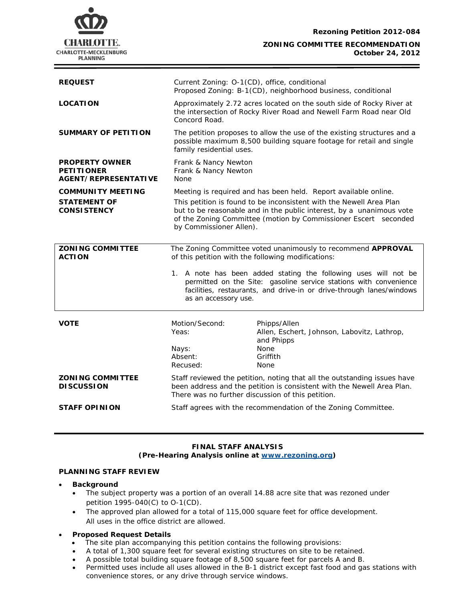**Rezoning Petition 2012-084**



**ZONING COMMITTEE RECOMMENDATION October 24, 2012**

| <b>REQUEST</b>                                                            | Current Zoning: O-1(CD), office, conditional<br>Proposed Zoning: B-1(CD), neighborhood business, conditional                                                                                                                                                                                                 |                                                                                                                                                                                                         |
|---------------------------------------------------------------------------|--------------------------------------------------------------------------------------------------------------------------------------------------------------------------------------------------------------------------------------------------------------------------------------------------------------|---------------------------------------------------------------------------------------------------------------------------------------------------------------------------------------------------------|
| <b>LOCATION</b>                                                           | Approximately 2.72 acres located on the south side of Rocky River at<br>the intersection of Rocky River Road and Newell Farm Road near Old<br>Concord Road.                                                                                                                                                  |                                                                                                                                                                                                         |
| <b>SUMMARY OF PETITION</b>                                                | The petition proposes to allow the use of the existing structures and a<br>possible maximum 8,500 building square footage for retail and single<br>family residential uses.                                                                                                                                  |                                                                                                                                                                                                         |
| <b>PROPERTY OWNER</b><br><b>PETITIONER</b><br><b>AGENT/REPRESENTATIVE</b> | Frank & Nancy Newton<br>Frank & Nancy Newton<br>None                                                                                                                                                                                                                                                         |                                                                                                                                                                                                         |
| <b>COMMUNITY MEETING</b><br><b>STATEMENT OF</b><br><b>CONSISTENCY</b>     | Meeting is required and has been held. Report available online.<br>This petition is found to be inconsistent with the Newell Area Plan<br>but to be reasonable and in the public interest, by a unanimous vote<br>of the Zoning Committee (motion by Commissioner Escert seconded<br>by Commissioner Allen). |                                                                                                                                                                                                         |
| <b>ZONING COMMITTEE</b><br><b>ACTION</b>                                  | The Zoning Committee voted unanimously to recommend APPROVAL<br>of this petition with the following modifications:<br>1. A note has been added stating the following uses will not be<br>permitted on the Site: gasoline service stations with convenience                                                   |                                                                                                                                                                                                         |
|                                                                           | as an accessory use.                                                                                                                                                                                                                                                                                         | facilities, restaurants, and drive-in or drive-through lanes/windows                                                                                                                                    |
|                                                                           |                                                                                                                                                                                                                                                                                                              |                                                                                                                                                                                                         |
| <b>VOTE</b>                                                               | Motion/Second:<br>Yeas:<br>Nays:<br>Absent:<br>Recused:                                                                                                                                                                                                                                                      | Phipps/Allen<br>Allen, Eschert, Johnson, Labovitz, Lathrop,<br>and Phipps<br><b>None</b><br>Griffith<br><b>None</b>                                                                                     |
| <b>ZONING COMMITTEE</b><br><b>DISCUSSION</b>                              |                                                                                                                                                                                                                                                                                                              | Staff reviewed the petition, noting that all the outstanding issues have<br>been address and the petition is consistent with the Newell Area Plan.<br>There was no further discussion of this petition. |

#### **FINAL STAFF ANALYSIS (Pre-Hearing Analysis online at [www.rezoning.org\)](http://www.rezoning.org/)**

### **PLANNING STAFF REVIEW**

#### • **Background**

- The subject property was a portion of an overall 14.88 acre site that was rezoned under petition 1995-040(C) to O-1(CD).
- The approved plan allowed for a total of 115,000 square feet for office development. All uses in the office district are allowed.

### • **Proposed Request Details**

- The site plan accompanying this petition contains the following provisions:
- A total of 1,300 square feet for several existing structures on site to be retained.
- A possible total building square footage of 8,500 square feet for parcels A and B.
- Permitted uses include all uses allowed in the B-1 district except fast food and gas stations with convenience stores, or any drive through service windows.